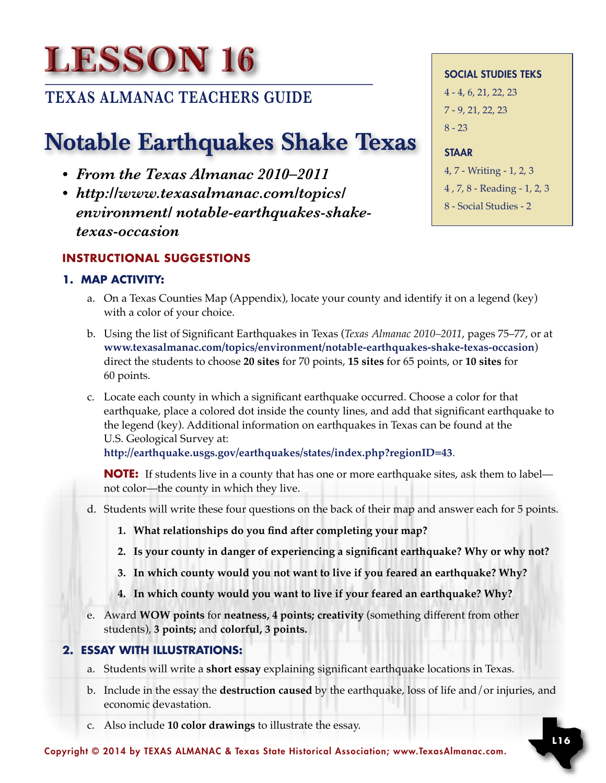# **Lesson 16**

### **TEXAS ALMANAC TEACHERS GUIDE**

## Notable Earthquakes Shake Texas

- *• From the Texas Almanac 2010–2011*
- *• http://www.texasalmanac.com/topics/ environment/ notable-earthquakes-shake- texas-occasion*

#### **Instructional Suggestions**

#### **1. MAP ACTIVITY:**

- a. On a Texas Counties Map (Appendix), locate your county and identify it on a legend (key) with a color of your choice.
- b. Using the list of Significant Earthquakes in Texas (*Texas Almanac 2010–2011*, pages 75–77, or at **www.texasalmanac.com/topics/environment/notable-earthquakes-shake-texas-occasion**) direct the students to choose **20 sites** for 70 points, **15 sites** for 65 points, or **10 sites** for 60 points.
- c. Locate each county in which a significant earthquake occurred. Choose a color for that earthquake, place a colored dot inside the county lines, and add that significant earthquake to the legend (key). Additional information on earthquakes in Texas can be found at the U.S. Geological Survey at:

**http://earthquake.usgs.gov/earthquakes/states/index.php?regionID=43**.

**NOTE:** If students live in a county that has one or more earthquake sites, ask them to label— not color—the county in which they live.

- d. Students will write these four questions on the back of their map and answer each for 5 points.
	- **1. What relationships do you find after completing your map?**
	- **2. Is your county in danger of experiencing a significant earthquake? Why or why not?**
	- **3. In which county would you not want to live if you feared an earthquake? Why?**
	- **4. In which county would you want to live if your feared an earthquake? Why?**
- e. Award **WOW points** for **neatness, 4 points; creativity** (something different from other students), **3 points;** and **colorful, 3 points.**

#### **2. ESSAY WITH ILLUSTRATIONS:**

- a. Students will write a **short essay** explaining significant earthquake locations in Texas.
- b. Include in the essay the **destruction caused** by the earthquake, loss of life and/or injuries, and economic devastation.
- c. Also include **10 color drawings** to illustrate the essay.

Social Studies TEKS 4 - 4, 6, 21, 22, 23 7 - 9, 21, 22, 23  $8 - 23$ 

#### **STAAR**

4, 7 - Writing - 1, 2, 3 4 , 7, 8 - Reading - 1, 2, 3 8 - Social Studies - 2